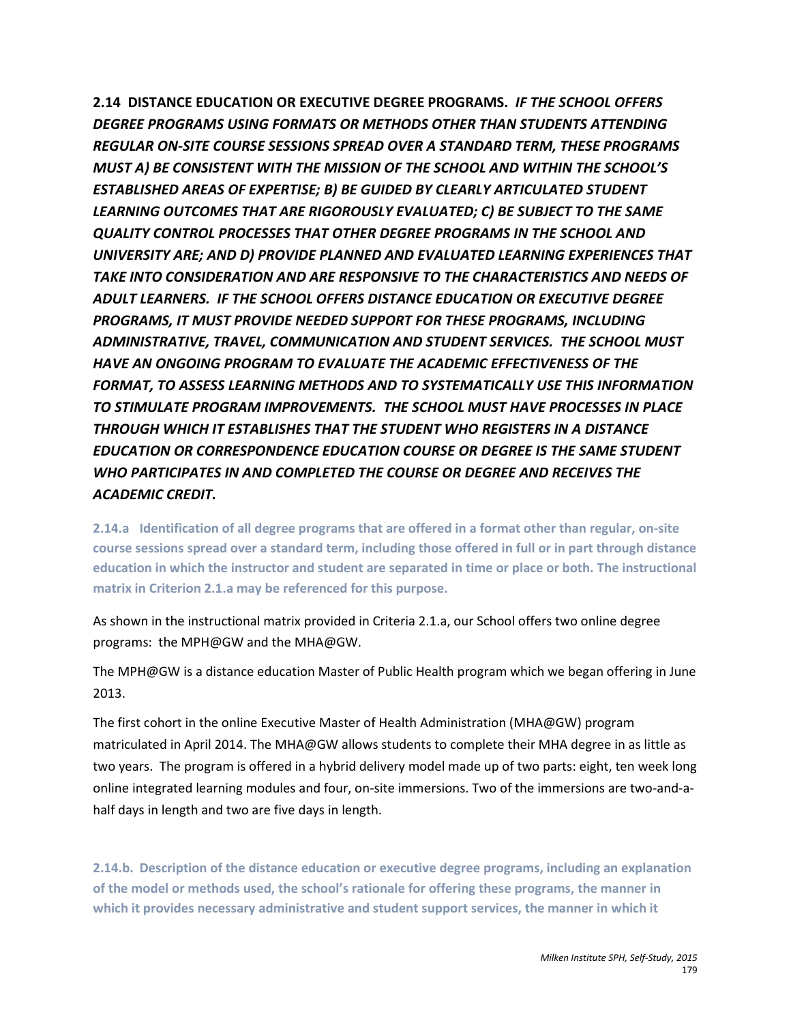**2.14 DISTANCE EDUCATION OR EXECUTIVE DEGREE PROGRAMS.** *IF THE SCHOOL OFFERS DEGREE PROGRAMS USING FORMATS OR METHODS OTHER THAN STUDENTS ATTENDING REGULAR ON-SITE COURSE SESSIONS SPREAD OVER A STANDARD TERM, THESE PROGRAMS MUST A) BE CONSISTENT WITH THE MISSION OF THE SCHOOL AND WITHIN THE SCHOOL'S ESTABLISHED AREAS OF EXPERTISE; B) BE GUIDED BY CLEARLY ARTICULATED STUDENT LEARNING OUTCOMES THAT ARE RIGOROUSLY EVALUATED; C) BE SUBJECT TO THE SAME QUALITY CONTROL PROCESSES THAT OTHER DEGREE PROGRAMS IN THE SCHOOL AND UNIVERSITY ARE; AND D) PROVIDE PLANNED AND EVALUATED LEARNING EXPERIENCES THAT TAKE INTO CONSIDERATION AND ARE RESPONSIVE TO THE CHARACTERISTICS AND NEEDS OF ADULT LEARNERS. IF THE SCHOOL OFFERS DISTANCE EDUCATION OR EXECUTIVE DEGREE PROGRAMS, IT MUST PROVIDE NEEDED SUPPORT FOR THESE PROGRAMS, INCLUDING ADMINISTRATIVE, TRAVEL, COMMUNICATION AND STUDENT SERVICES. THE SCHOOL MUST HAVE AN ONGOING PROGRAM TO EVALUATE THE ACADEMIC EFFECTIVENESS OF THE FORMAT, TO ASSESS LEARNING METHODS AND TO SYSTEMATICALLY USE THIS INFORMATION TO STIMULATE PROGRAM IMPROVEMENTS. THE SCHOOL MUST HAVE PROCESSES IN PLACE THROUGH WHICH IT ESTABLISHES THAT THE STUDENT WHO REGISTERS IN A DISTANCE EDUCATION OR CORRESPONDENCE EDUCATION COURSE OR DEGREE IS THE SAME STUDENT WHO PARTICIPATES IN AND COMPLETED THE COURSE OR DEGREE AND RECEIVES THE ACADEMIC CREDIT.*

**2.14.a Identification of all degree programs that are offered in a format other than regular, on-site course sessions spread over a standard term, including those offered in full or in part through distance education in which the instructor and student are separated in time or place or both. The instructional matrix in Criterion 2.1.a may be referenced for this purpose.**

As shown in the instructional matrix provided in Criteria 2.1.a, our School offers two online degree programs: the MPH@GW and the MHA@GW.

The MPH@GW is a distance education Master of Public Health program which we began offering in June 2013.

The first cohort in the online Executive Master of Health Administration (MHA@GW) program matriculated in April 2014. The MHA@GW allows students to complete their MHA degree in as little as two years. The program is offered in a hybrid delivery model made up of two parts: eight, ten week long online integrated learning modules and four, on-site immersions. Two of the immersions are two-and-ahalf days in length and two are five days in length.

**2.14.b. Description of the distance education or executive degree programs, including an explanation of the model or methods used, the school's rationale for offering these programs, the manner in which it provides necessary administrative and student support services, the manner in which it**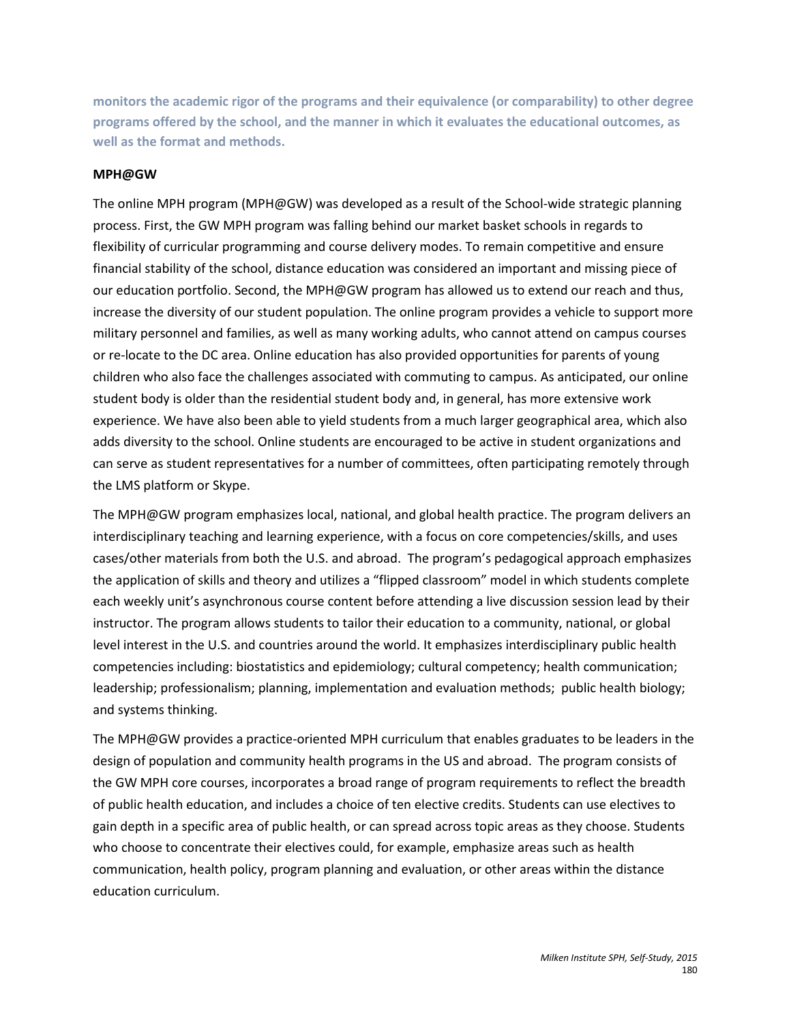**monitors the academic rigor of the programs and their equivalence (or comparability) to other degree programs offered by the school, and the manner in which it evaluates the educational outcomes, as well as the format and methods.**

#### **MPH@GW**

The online MPH program (MPH@GW) was developed as a result of the School-wide strategic planning process. First, the GW MPH program was falling behind our market basket schools in regards to flexibility of curricular programming and course delivery modes. To remain competitive and ensure financial stability of the school, distance education was considered an important and missing piece of our education portfolio. Second, the MPH@GW program has allowed us to extend our reach and thus, increase the diversity of our student population. The online program provides a vehicle to support more military personnel and families, as well as many working adults, who cannot attend on campus courses or re-locate to the DC area. Online education has also provided opportunities for parents of young children who also face the challenges associated with commuting to campus. As anticipated, our online student body is older than the residential student body and, in general, has more extensive work experience. We have also been able to yield students from a much larger geographical area, which also adds diversity to the school. Online students are encouraged to be active in student organizations and can serve as student representatives for a number of committees, often participating remotely through the LMS platform or Skype.

The MPH@GW program emphasizes local, national, and global health practice. The program delivers an interdisciplinary teaching and learning experience, with a focus on core competencies/skills, and uses cases/other materials from both the U.S. and abroad. The program's pedagogical approach emphasizes the application of skills and theory and utilizes a "flipped classroom" model in which students complete each weekly unit's asynchronous course content before attending a live discussion session lead by their instructor. The program allows students to tailor their education to a community, national, or global level interest in the U.S. and countries around the world. It emphasizes interdisciplinary public health competencies including: biostatistics and epidemiology; cultural competency; health communication; leadership; professionalism; planning, implementation and evaluation methods; public health biology; and systems thinking.

The MPH@GW provides a practice-oriented MPH curriculum that enables graduates to be leaders in the design of population and community health programs in the US and abroad. The program consists of the GW MPH core courses, incorporates a broad range of program requirements to reflect the breadth of public health education, and includes a choice of ten elective credits. Students can use electives to gain depth in a specific area of public health, or can spread across topic areas as they choose. Students who choose to concentrate their electives could, for example, emphasize areas such as health communication, health policy, program planning and evaluation, or other areas within the distance education curriculum.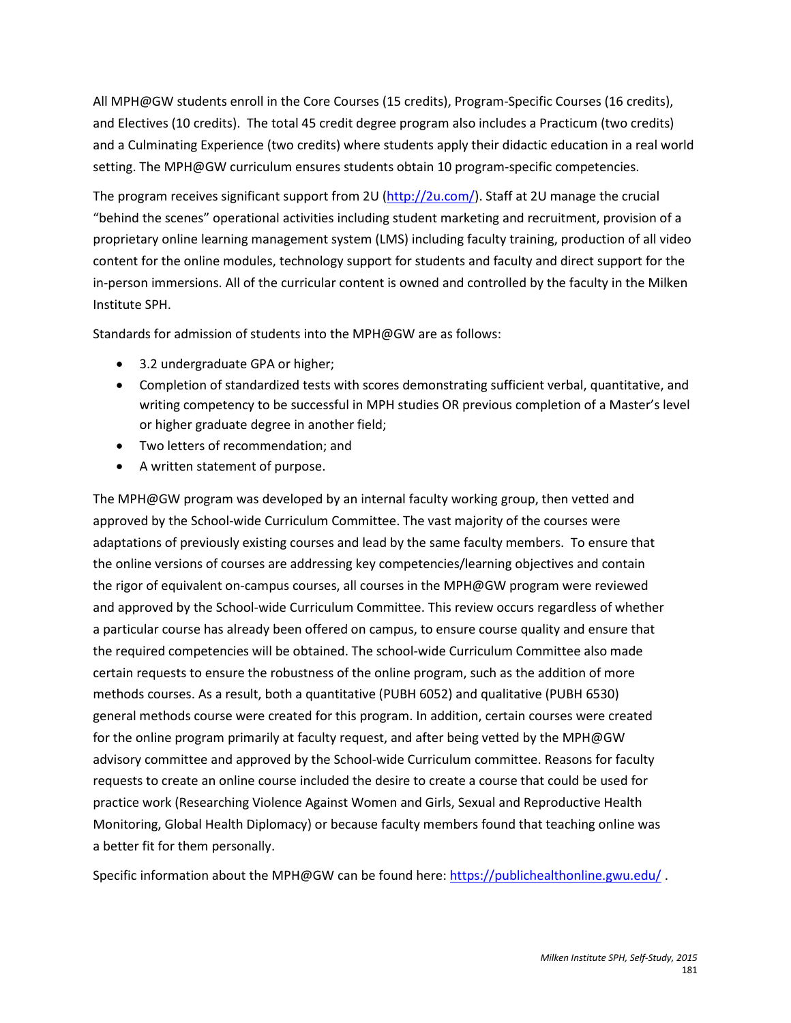All MPH@GW students enroll in the Core Courses (15 credits), Program-Specific Courses (16 credits), and Electives (10 credits). The total 45 credit degree program also includes a Practicum (two credits) and a Culminating Experience (two credits) where students apply their didactic education in a real world setting. The MPH@GW curriculum ensures students obtain 10 program-specific competencies.

The program receives significant support from 2U [\(http://2u.com/\)](http://2u.com/). Staff at 2U manage the crucial "behind the scenes" operational activities including student marketing and recruitment, provision of a proprietary online learning management system (LMS) including faculty training, production of all video content for the online modules, technology support for students and faculty and direct support for the in-person immersions. All of the curricular content is owned and controlled by the faculty in the Milken Institute SPH.

Standards for admission of students into the MPH@GW are as follows:

- 3.2 undergraduate GPA or higher;
- Completion of standardized tests with scores demonstrating sufficient verbal, quantitative, and writing competency to be successful in MPH studies OR previous completion of a Master's level or higher graduate degree in another field;
- Two letters of recommendation; and
- A written statement of purpose.

The MPH@GW program was developed by an internal faculty working group, then vetted and approved by the School-wide Curriculum Committee. The vast majority of the courses were adaptations of previously existing courses and lead by the same faculty members. To ensure that the online versions of courses are addressing key competencies/learning objectives and contain the rigor of equivalent on-campus courses, all courses in the MPH@GW program were reviewed and approved by the School-wide Curriculum Committee. This review occurs regardless of whether a particular course has already been offered on campus, to ensure course quality and ensure that the required competencies will be obtained. The school-wide Curriculum Committee also made certain requests to ensure the robustness of the online program, such as the addition of more methods courses. As a result, both a quantitative (PUBH 6052) and qualitative (PUBH 6530) general methods course were created for this program. In addition, certain courses were created for the online program primarily at faculty request, and after being vetted by the MPH@GW advisory committee and approved by the School-wide Curriculum committee. Reasons for faculty requests to create an online course included the desire to create a course that could be used for practice work (Researching Violence Against Women and Girls, Sexual and Reproductive Health Monitoring, Global Health Diplomacy) or because faculty members found that teaching online was a better fit for them personally.

Specific information about the MPH@GW can be found here:<https://publichealthonline.gwu.edu/> .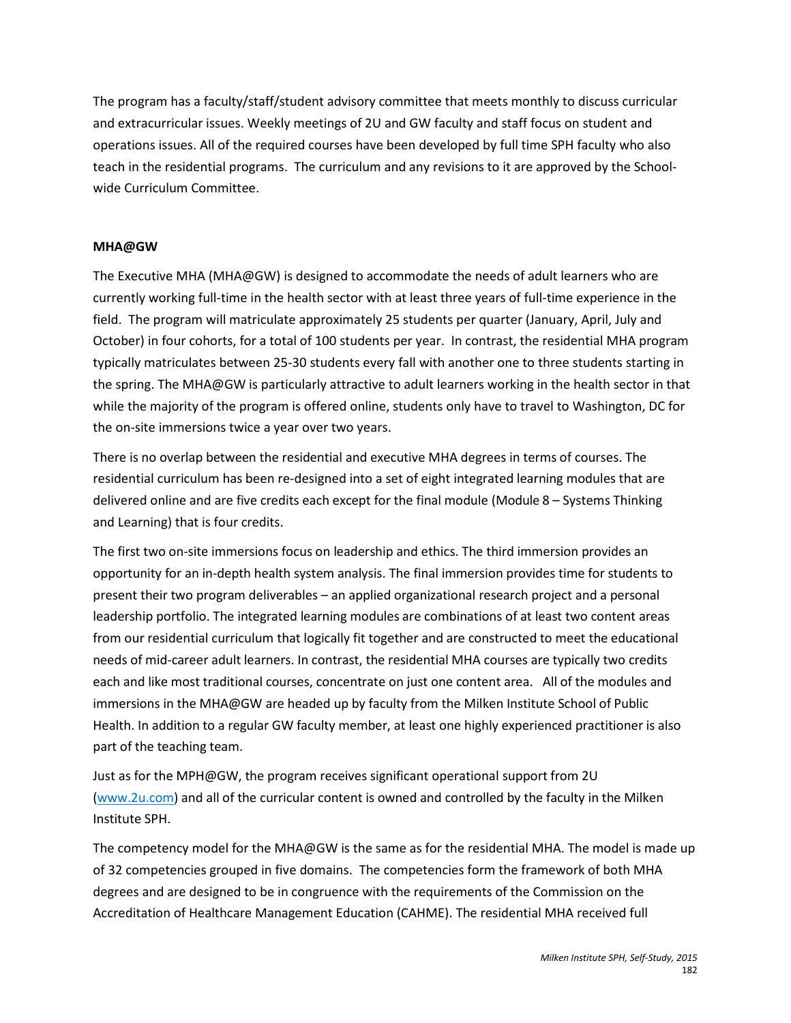The program has a faculty/staff/student advisory committee that meets monthly to discuss curricular and extracurricular issues. Weekly meetings of 2U and GW faculty and staff focus on student and operations issues. All of the required courses have been developed by full time SPH faculty who also teach in the residential programs. The curriculum and any revisions to it are approved by the Schoolwide Curriculum Committee.

#### **MHA@GW**

The Executive MHA (MHA@GW) is designed to accommodate the needs of adult learners who are currently working full-time in the health sector with at least three years of full-time experience in the field. The program will matriculate approximately 25 students per quarter (January, April, July and October) in four cohorts, for a total of 100 students per year. In contrast, the residential MHA program typically matriculates between 25-30 students every fall with another one to three students starting in the spring. The MHA@GW is particularly attractive to adult learners working in the health sector in that while the majority of the program is offered online, students only have to travel to Washington, DC for the on-site immersions twice a year over two years.

There is no overlap between the residential and executive MHA degrees in terms of courses. The residential curriculum has been re-designed into a set of eight integrated learning modules that are delivered online and are five credits each except for the final module (Module 8 – Systems Thinking and Learning) that is four credits.

The first two on-site immersions focus on leadership and ethics. The third immersion provides an opportunity for an in-depth health system analysis. The final immersion provides time for students to present their two program deliverables – an applied organizational research project and a personal leadership portfolio. The integrated learning modules are combinations of at least two content areas from our residential curriculum that logically fit together and are constructed to meet the educational needs of mid-career adult learners. In contrast, the residential MHA courses are typically two credits each and like most traditional courses, concentrate on just one content area. All of the modules and immersions in the MHA@GW are headed up by faculty from the Milken Institute School of Public Health. In addition to a regular GW faculty member, at least one highly experienced practitioner is also part of the teaching team.

Just as for the MPH@GW, the program receives significant operational support from 2U (ww[w.2u.com\)](http://www.2u.com/) and all of the curricular content is owned and controlled by the faculty in the Milken Institute SPH.

The competency model for the MHA@GW is the same as for the residential MHA. The model is made up of 32 competencies grouped in five domains. The competencies form the framework of both MHA degrees and are designed to be in congruence with the requirements of the Commission on the Accreditation of Healthcare Management Education (CAHME). The residential MHA received full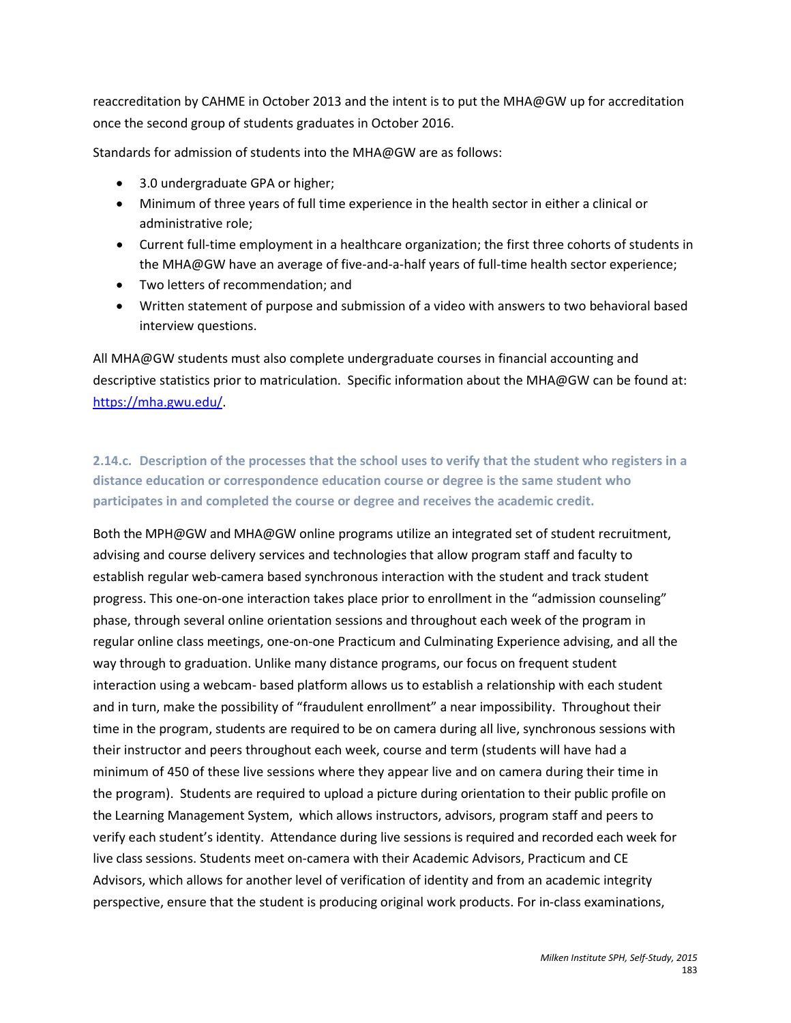reaccreditation by CAHME in October 2013 and the intent is to put the MHA@GW up for accreditation once the second group of students graduates in October 2016.

Standards for admission of students into the MHA@GW are as follows:

- 3.0 undergraduate GPA or higher;
- Minimum of three years of full time experience in the health sector in either a clinical or administrative role;
- Current full-time employment in a healthcare organization; the first three cohorts of students in the MHA@GW have an average of five-and-a-half years of full-time health sector experience;
- Two letters of recommendation; and
- Written statement of purpose and submission of a video with answers to two behavioral based interview questions.

All MHA@GW students must also complete undergraduate courses in financial accounting and descriptive statistics prior to matriculation. Specific information about the MHA@GW can be found at: [https://mha.gwu.edu/.](https://mha.gwu.edu/)

**2.14.c. Description of the processes that the school uses to verify that the student who registers in a distance education or correspondence education course or degree is the same student who participates in and completed the course or degree and receives the academic credit.**

Both the MPH@GW and MHA@GW online programs utilize an integrated set of student recruitment, advising and course delivery services and technologies that allow program staff and faculty to establish regular web-camera based synchronous interaction with the student and track student progress. This one-on-one interaction takes place prior to enrollment in the "admission counseling" phase, through several online orientation sessions and throughout each week of the program in regular online class meetings, one-on-one Practicum and Culminating Experience advising, and all the way through to graduation. Unlike many distance programs, our focus on frequent student interaction using a webcam- based platform allows us to establish a relationship with each student and in turn, make the possibility of "fraudulent enrollment" a near impossibility. Throughout their time in the program, students are required to be on camera during all live, synchronous sessions with their instructor and peers throughout each week, course and term (students will have had a minimum of 450 of these live sessions where they appear live and on camera during their time in the program). Students are required to upload a picture during orientation to their public profile on the Learning Management System, which allows instructors, advisors, program staff and peers to verify each student's identity. Attendance during live sessions is required and recorded each week for live class sessions. Students meet on-camera with their Academic Advisors, Practicum and CE Advisors, which allows for another level of verification of identity and from an academic integrity perspective, ensure that the student is producing original work products. For in-class examinations,